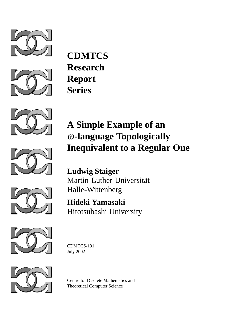



**CDMTCS Research Report Series**







**Hideki Yamasaki** Hitotsubashi University



CDMTCS-191 July 2002



Centre for Discrete Mathematics and Theoretical Computer Science

## **A Simple Example of an** ω**-language Topologically Inequivalent to a Regular One**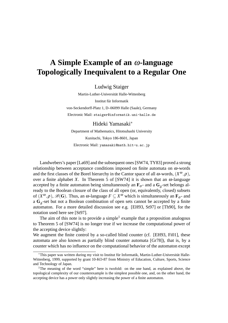## **A Simple Example of an** ω**-language Topologically Inequivalent to a Regular One**

Ludwig Staiger

Martin-Luther-Universität Halle-Wittenberg Institut für Informatik von-Seckendorff-Platz 1, D–06099 Halle (Saale), Germany Electronic Mail: staiger@informatik.uni-halle.de

## Hideki Yamasaki<sup>∗</sup>

Department of Mathematics, Hitotsubashi University Kunitachi, Tokyo 186-8601, Japan Electronic Mail: yamasaki@math.hit-u.ac.jp

Landwebers's paper [La69] and the subsequent ones [SW74, TY83] proved a strong relationship between acceptance conditions imposed on finite automata on  $\omega$ -words and the first classes of the Borel hierarchy in the Cantor space of all  $\omega$ -words,  $(X^{\omega}, \rho)$ , over a finite alphabet *X*. In Theorem 5 of [SW74] it is shown that an  $\omega$ -language accepted by a finite automaton being simultaneously an  $\mathbf{F}_{\sigma}$ - and a  $\mathbf{G}_{\delta}$ -set belongs already to the Boolean closure of the class of all open (or, equivalently, closed) subsets of  $(X^{\omega}, \rho)$ ,  $\mathscr{B}(G)$ . Thus, an  $\omega$ -language  $F \subseteq X^{\omega}$  which is simultaneously an  $\mathbf{F}_{\sigma}$ - and a G<sub>δ</sub>-set but not a Boolean combination of open sets cannot be accepted by a finite automaton. For a more detailed discussion see e.g. [EH93, St97] or [Th90], for the notation used here see [St97].

The aim of this note is to provide a simple<sup>1</sup> example that a proposition analogous to Theorem 5 of [SW74] is no longer true if we increase the computational power of the accepting device slightly:

We augment the finite control by a so-called blind counter (cf. [EH93, Fi01], these automata are also known as partially blind counter automata [Gr78]), that is, by a counter which has no influence on the computational behavior of the automaton except

<sup>\*</sup>This paper was written during my visit to Institut für Informatik, Martin-Luther-Universität Halle-Wittenberg, 1999, supported by grant 10-KO-87 from Ministry of Education, Culture, Sports, Science and Technology of Japan.

<sup>&</sup>lt;sup>1</sup>The meaning of the word "simple" here is twofold: on the one hand, as explained above, the topological complexity of our counterexample is the simplest possible one, and, on the other hand, the accepting device has a power only slightly increasing the power of a finite automaton.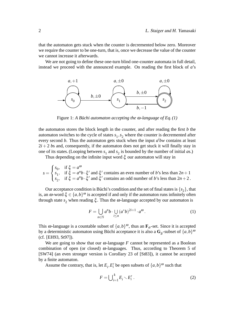that the automaton gets stuck when the counter is decremented below zero. Moreover we require the counter to be one-turn, that is, once we decrease the value of the counter we cannot increase it afterwards.

We are not going to define these one-turn blind one-counter automata in full detail, instead we proceed with the announced example. On reading the first block of *a*'s



Figure 1: A Büchi automaton accepting the  $\omega$ -language of Eq. (1)

the automaton stores the block length in the counter, and after reading the first *b* the automaton switches to the cycle of states *s* 1 ,*s* <sup>2</sup> where the counter is decremented after every second *b*. Thus the automaton gets stuck when the input *a <sup>i</sup>bw* contains at least  $2i+2$  *bs* and, consequently, if the automaton does not get stuck it will finally stay in one of its states. (Looping between  $s_1$  and  $s_2$  is bounded by the number of initial *a*s.)

Thus depending on the infinite input word ξ our automaton will stay in

 $s =$  $\sqrt{ }$  $\int$  $\mathcal{L}$  $s_0$ , if  $\xi = a^{\omega}$  $s_1$ , if  $\xi = a^n b \cdot \xi'$  and  $\xi'$  contains an even number of *b*'s less than  $2n + 1$  $s_2$ , if  $\zeta = a^n b \cdot \zeta'$  and  $\zeta'$  contains an odd number of *b*'s less than  $2n + 2$ .

Our acceptance condition is Büchi's condition and the set of final states is  $\{s_2\}$ , that is, an  $\omega$ -word  $\xi \in \{a,b\}^{\omega}$  is accepted if and only if the automaton runs infinitely often through state  $s_2$  when reading  $\xi$ . Thus the  $\omega$ -language accepted by our automaton is

$$
F = \bigcup_{n \in \mathbb{N}} a^n b \cdot \bigcup_{i \le n} (a^* b)^{2i+1} \cdot a^{\omega}.
$$
 (1)

This  $\omega$ -language is a countable subset of  $\{a,b\}^{\omega}$ , thus an  $\mathbf{F}_{\sigma}$ -set. Since it is accepted by a deterministic automaton using Büchi acceptance it is also a  $\mathbf{G}_{\delta}$ -subset of  $\{a,b\}^{\alpha}$ (cf. [EH93, St97]).

We are going to show that our  $\omega$ -language *F* cannot be represented as a Boolean combination of open (or closed)  $\omega$ -languages. Thus, according to Theorem 5 of [SW74] (an even stronger version is Corollary 23 of [St83]), it cannot be accepted by a finite automaton.

Assume the contrary, that is, let  $E_i$ ,  $E'_i$  $b_i'$  be open subsets of  $\{a,b\}^\omega$  such that

$$
F = \bigcup_{i=1}^{k} E_i \setminus E'_i \ . \tag{2}
$$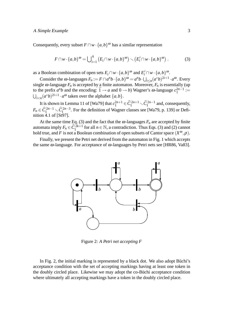Consequently, every subset  $F \cap w \cdot \{a, b\}^{\omega}$  has a similar representation

$$
F \cap w \cdot \{a,b\}^{\omega} = \bigcup_{i=1}^{k} \left( E_i \cap w \cdot \{a,b\}^{\omega} \right) \setminus \left( E'_i \cap w \cdot \{a,b\}^{\omega} \right). \tag{3}
$$

as a Boolean combination of open sets  $E_i \cap w \cdot \{a,b\}^{\omega}$  and  $E'_i \cap w \cdot \{a,b\}^{\omega}$ .

Consider the  $\omega$ -languages  $F_n := F \cap a^n b \cdot \{a, b\}^\omega = a^n b \cdot \bigcup_{i \leq n} (a^* b)^{2i+1} \cdot a^\omega$ . Every single  $\omega$ -language  $F_n$  is accepted by a finite automaton. Moreover,  $F_n$  is essentially (up to the prefix  $a^n b$  and the encoding:  $\overline{1} \rightarrow a$  and  $0 \rightarrow b$ ) Wagner's  $\omega$ -language  $c_1^{2n-1}$  $i^{2n-1} :=$  $\bigcup_{i < n} (a^*b)^{2i+1} \cdot a^\omega$  taken over the alphabet  $\{a, b\}.$ 

It is shown in Lemma 11 of [Wa79] that  $c_1^{2n+1}$  $\widehat{C}_1^{2n+1} \subset \widehat{C}_1^{2n-1}$  and, consequently,  $F_n \in \hat{C}_1^{2n-1} \setminus \hat{C}_1^{2n-3}$ . For the definition of Wagner classes see [Wa79, p. 139] or Definition  $4.1$  of [St97].

At the same time Eq. (3) and the fact that the  $\omega$ -languages  $F_n$  are accepted by finite automata imply  $F_n \in \widehat{C}_1^{\frac{2k+1}{2k+1}}$  for all  $n \in \mathbb{N}$ , a contradiction. Thus Eqs. (3) and (2) cannot hold true, and *F* is not a Boolean combination of open subsets of Cantor space  $(X^{\omega}, \rho)$ .

Finally, we present the Petri net derived from the automaton in Fig. 1 which accepts the same  $\omega$ -language. For acceptance of  $\omega$ -languages by Petri nets see [HR86, Va83].



Figure 2: *A Petri net accepting F*

In Fig. 2, the initial marking is represented by a black dot. We also adopt Büchi's acceptance condition with the set of accepting markings having at least one token in the doubly circled place. Likewise we may adopt the co-Buchi acceptance condition where ultimately all accepting markings have a token in the doubly circled place.